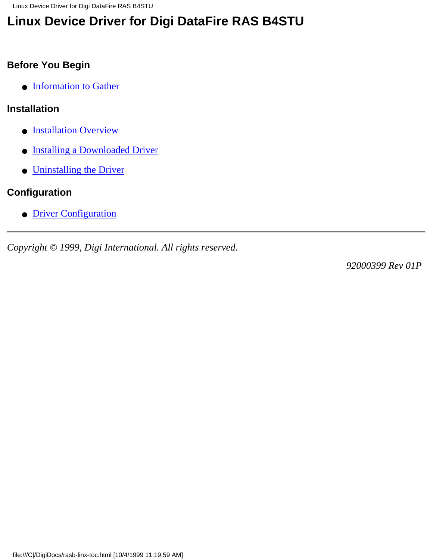Linux Device Driver for Digi DataFire RAS B4STU

# **Linux Device Driver for Digi DataFire RAS B4STU**

### **Before You Begin**

● [Information to Gather](#page-1-0)

### **Installation**

- **[Installation Overview](#page-2-0)**
- [Installing a Downloaded Driver](#page-3-0)
- [Uninstalling the Driver](#page-4-0)

## **Configuration**

● [Driver Configuration](#page-5-0)

*Copyright © 1999, Digi International. All rights reserved.*

*92000399 Rev 01P*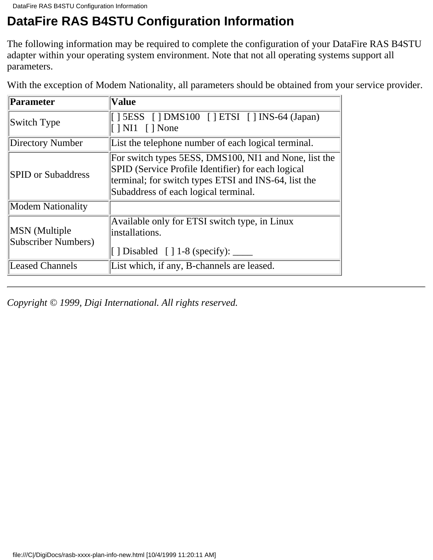## <span id="page-1-0"></span>**DataFire RAS B4STU Configuration Information**

The following information may be required to complete the configuration of your DataFire RAS B4STU adapter within your operating system environment. Note that not all operating systems support all parameters.

| With the exception of Modem Nationality, all parameters should be obtained from your service provider. |
|--------------------------------------------------------------------------------------------------------|
|                                                                                                        |

| Parameter                                   | <b>Value</b>                                                                                                                                                                                                |
|---------------------------------------------|-------------------------------------------------------------------------------------------------------------------------------------------------------------------------------------------------------------|
| Switch Type                                 | $[$   5ESS $[$   DMS100 $[$   ETSI $[$   INS-64 (Japan)<br>$\lceil$   NI1     None                                                                                                                          |
| Directory Number                            | List the telephone number of each logical terminal.                                                                                                                                                         |
| <b>SPID</b> or Subaddress                   | For switch types 5ESS, DMS100, NI1 and None, list the<br>SPID (Service Profile Identifier) for each logical<br>terminal; for switch types ETSI and INS-64, list the<br>Subaddress of each logical terminal. |
| <b>Modem Nationality</b>                    |                                                                                                                                                                                                             |
| <b>MSN</b> (Multiple<br>Subscriber Numbers) | Available only for ETSI switch type, in Linux<br>linstallations.<br>[] Disabled [] $1-8$ (specify): _____                                                                                                   |
| <b>Leased Channels</b>                      | List which, if any, B-channels are leased.                                                                                                                                                                  |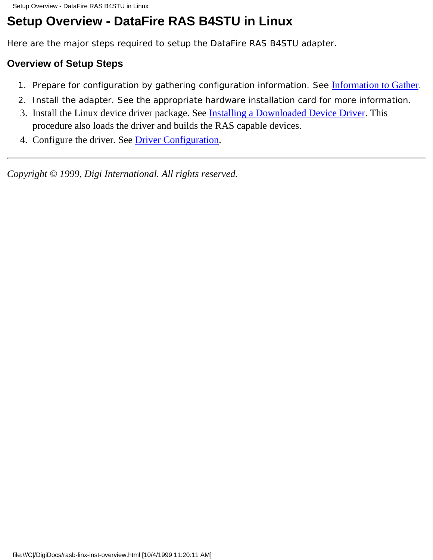# <span id="page-2-0"></span>**Setup Overview - DataFire RAS B4STU in Linux**

Here are the major steps required to setup the DataFire RAS B4STU adapter.

#### **Overview of Setup Steps**

- 1. Prepare for configuration by gathering configuration information. See *[Information to Gather](#page-1-0)*.
- 2. Install the adapter. See the appropriate hardware installation card for more information.
- 3. Install the Linux device driver package. See **[Installing a Downloaded Device Driver](#page-3-0)**. This procedure also loads the driver and builds the RAS capable devices.
- 4. Configure the driver. See [Driver Configuration.](#page-5-0)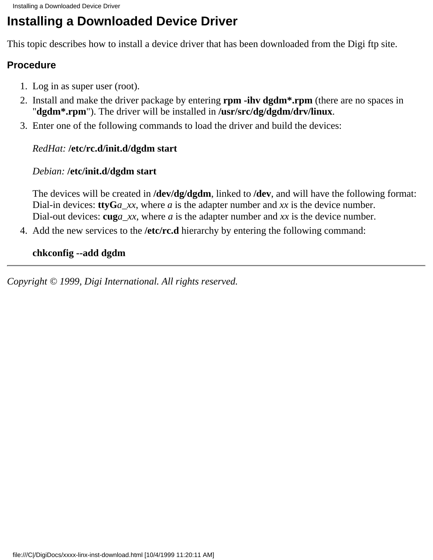## <span id="page-3-0"></span>**Installing a Downloaded Device Driver**

This topic describes how to install a device driver that has been downloaded from the Digi ftp site.

#### **Procedure**

- 1. Log in as super user (root).
- 2. Install and make the driver package by entering **rpm -ihv dgdm<sup>\*</sup>.rpm** (there are no spaces in "**dgdm\*.rpm**"). The driver will be installed in **/usr/src/dg/dgdm/drv/linux**.
- Enter one of the following commands to load the driver and build the devices: 3.

#### *RedHat:* **/etc/rc.d/init.d/dgdm start**

#### *Debian:* **/etc/init.d/dgdm start**

The devices will be created in **/dev/dg/dgdm**, linked to **/dev**, and will have the following format: Dial-in devices: **ttyG***a\_xx*, where *a* is the adapter number and *xx* is the device number. Dial-out devices: **cug***a\_xx*, where *a* is the adapter number and *xx* is the device number.

4. Add the new services to the /etc/rc.d hierarchy by entering the following command:

#### **chkconfig --add dgdm**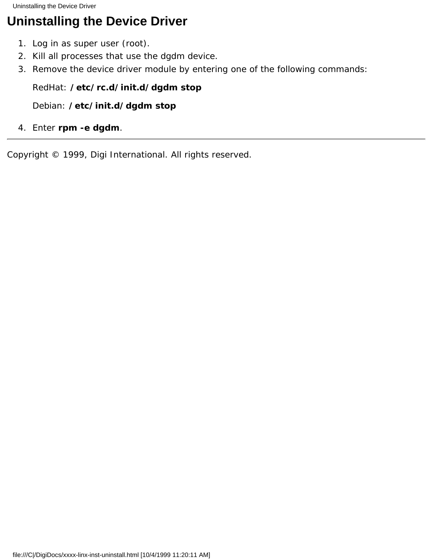<span id="page-4-0"></span>Uninstalling the Device Driver

## **Uninstalling the Device Driver**

- 1. Log in as super user (root).
- 2. Kill all processes that use the dgdm device.
- 3. Remove the device driver module by entering one of the following commands:

#### *RedHat:* **/etc/rc.d/init.d/dgdm stop**

*Debian:* **/etc/init.d/dgdm stop**

4. Enter **rpm -e dgdm**.